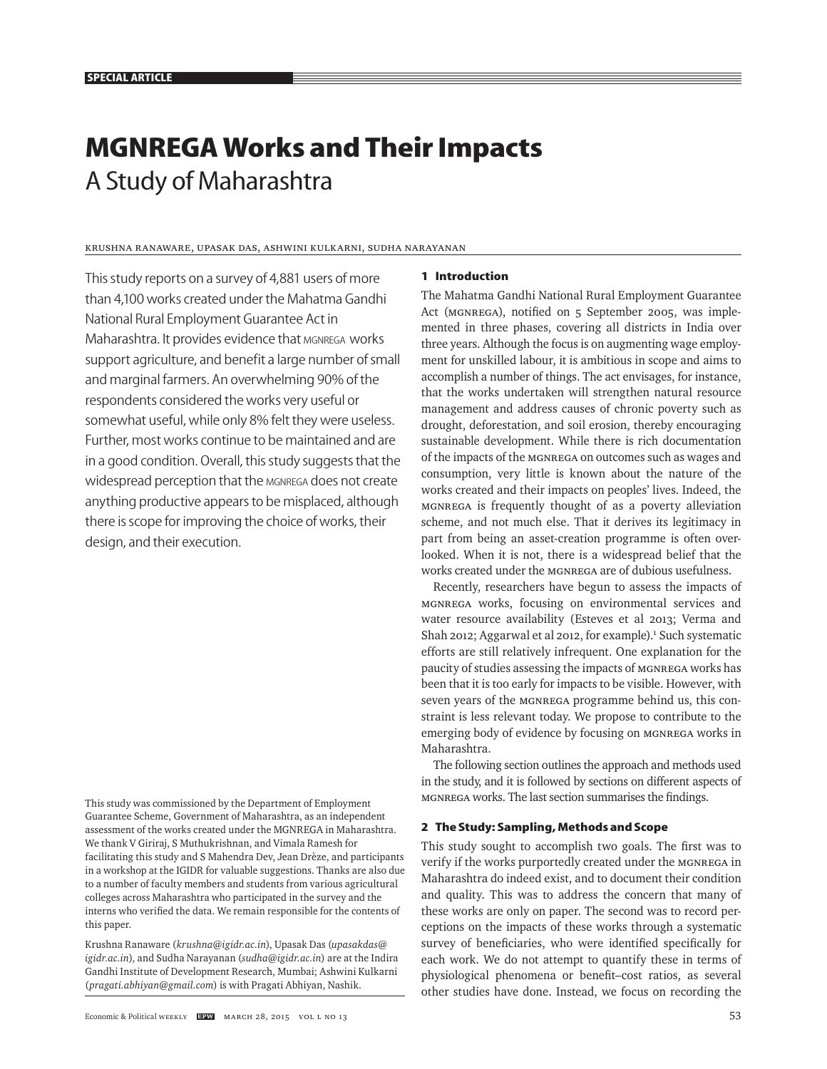# **MGNREGA Works and Their Impacts**  A Study of Maharashtra

# Krushna Ranaware, Upasak Das, Ashwini Kulkarni, Sudha Narayanan

This study reports on a survey of 4,881 users of more than 4,100 works created under the Mahatma Gandhi National Rural Employment Guarantee Act in Maharashtra. It provides evidence that MGNREGA works support agriculture, and benefit a large number of small and marginal farmers. An overwhelming 90% of the respondents considered the works very useful or somewhat useful, while only 8% felt they were useless. Further, most works continue to be maintained and are in a good condition. Overall, this study suggests that the widespread perception that the MGNREGA does not create anything productive appears to be misplaced, although there is scope for improving the choice of works, their design, and their execution.

This study was commissioned by the Department of Employment Guarantee Scheme, Government of Maharashtra, as an independent assessment of the works created under the MGNREGA in Maharashtra. We thank V Giriraj, S Muthukrishnan, and Vimala Ramesh for facilitating this study and S Mahendra Dev, Jean Drèze, and participants in a workshop at the IGIDR for valuable suggestions. Thanks are also due to a number of faculty members and students from various agricultural colleges across Maharashtra who participated in the survey and the interns who verified the data. We remain responsible for the contents of this paper.

Krushna Ranaware (*krushna@igidr.ac.in*), Upasak Das (*upasakdas@ igidr.ac.in*), and Sudha Narayanan (*sudha@igidr.ac.in*) are at the Indira Gandhi Institute of Development Research, Mumbai; Ashwini Kulkarni (*pragati.abhiyan@gmail.com*) is with Pragati Abhiyan, Nashik.

#### **1 Introduction**

The Mahatma Gandhi National Rural Employment Guarantee Act (MGNREGA), notified on 5 September 2005, was implemented in three phases, covering all districts in India over three years. Although the focus is on augmenting wage employment for unskilled labour, it is ambitious in scope and aims to accomplish a number of things. The act envisages, for instance, that the works undertaken will strengthen natural resource management and address causes of chronic poverty such as drought, deforestation, and soil erosion, thereby encouraging sustainable development. While there is rich documentation of the impacts of the MGNREGA on outcomes such as wages and consumption, very little is known about the nature of the works created and their impacts on peoples' lives. Indeed, the MGNREGA is frequently thought of as a poverty alleviation scheme, and not much else. That it derives its legitimacy in part from being an asset-creation programme is often overlooked. When it is not, there is a widespread belief that the works created under the MGNREGA are of dubious usefulness.

Recently, researchers have begun to assess the impacts of MGNREGA works, focusing on environmental services and water resource availability (Esteves et al 2013; Verma and Shah 2012; Aggarwal et al 2012, for example).<sup>1</sup> Such systematic efforts are still relatively infrequent. One explanation for the paucity of studies assessing the impacts of MGNREGA works has been that it is too early for impacts to be visible. However, with seven years of the MGNREGA programme behind us, this constraint is less relevant today. We propose to contribute to the emerging body of evidence by focusing on MGNREGA works in Maharashtra.

The following section outlines the approach and methods used in the study, and it is followed by sections on different aspects of MGNREGA works. The last section summarises the findings.

## **2 The Study: Sampling, Methods and Scope**

This study sought to accomplish two goals. The first was to verify if the works purportedly created under the MGNREGA in Maharashtra do indeed exist, and to document their condition and quality. This was to address the concern that many of these works are only on paper. The second was to record perceptions on the impacts of these works through a systematic survey of beneficiaries, who were identified specifically for each work. We do not attempt to quantify these in terms of physiological phenomena or benefit–cost ratios, as several other studies have done. Instead, we focus on recording the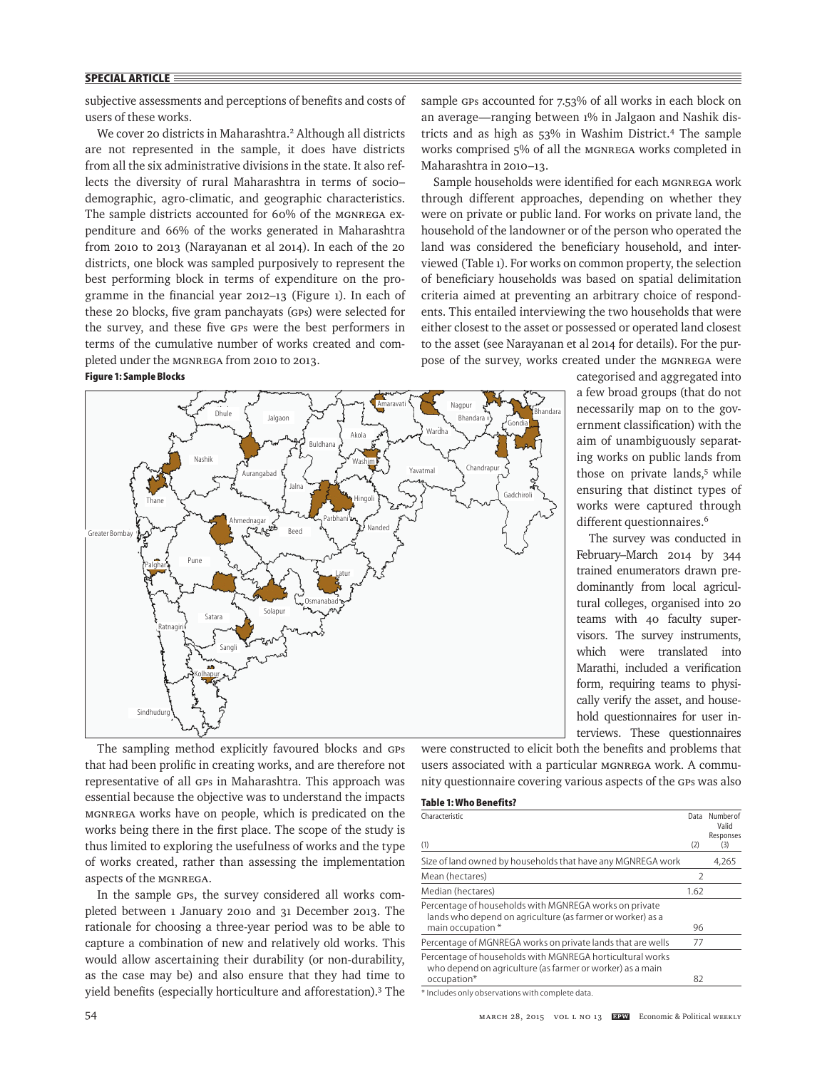subjective assessments and perceptions of benefits and costs of users of these works.

We cover 20 districts in Maharashtra.<sup>2</sup> Although all districts are not represented in the sample, it does have districts from all the six administrative divisions in the state. It also reflects the diversity of rural Maharashtra in terms of sociodemographic, agro-climatic, and geographic characteristics. The sample districts accounted for 60% of the MGNREGA expenditure and 66% of the works generated in Maharashtra from 2010 to 2013 (Narayanan et al 2014). In each of the 20 districts, one block was sampled purposively to represent the best performing block in terms of expenditure on the programme in the financial year 2012-13 (Figure 1). In each of these 20 blocks, five gram panchayats (GPs) were selected for the survey, and these five GPs were the best performers in terms of the cumulative number of works created and completed under the MGNREGA from 2010 to 2013.

# **Figure 1: Sample Blocks**



The sampling method explicitly favoured blocks and GPs that had been prolific in creating works, and are therefore not representative of all GPs in Maharashtra. This approach was essential because the objective was to understand the impacts MGNREGA works have on people, which is predicated on the works being there in the first place. The scope of the study is thus limited to exploring the usefulness of works and the type of works created, rather than assessing the implementation aspects of the MGNREGA.

In the sample GPs, the survey considered all works completed between 1 January 2010 and 31 December 2013. The rationale for choosing a three-year period was to be able to capture a combination of new and relatively old works. This would allow ascertaining their durability (or non-durability, as the case may be) and also ensure that they had time to yield benefits (especially horticulture and afforestation).<sup>3</sup> The sample GPs accounted for 7.53% of all works in each block on an average—ranging between 1% in Jalgaon and Nashik districts and as high as 53% in Washim District.4 The sample works comprised 5% of all the MGNREGA works completed in Maharashtra in 2010–13.

Sample households were identified for each MGNREGA work through different approaches, depending on whether they were on private or public land. For works on private land, the household of the landowner or of the person who operated the land was considered the beneficiary household, and interviewed (Table 1). For works on common property, the selection of beneficiary households was based on spatial delimitation criteria aimed at preventing an arbitrary choice of respondents. This entailed interviewing the two households that were either closest to the asset or possessed or operated land closest to the asset (see Narayanan et al 2014 for details). For the purpose of the survey, works created under the MGNREGA were

> categorised and aggregated into a few broad groups (that do not necessarily map on to the government classification) with the aim of unambiguously separating works on public lands from those on private lands,<sup>5</sup> while ensuring that distinct types of works were captured through different questionnaires.<sup>6</sup>

> The survey was conducted in February–March 2014 by 344 trained enumerators drawn predominantly from local agricultural colleges, organised into 20 teams with 40 faculty supervisors. The survey instruments, which were translated into Marathi, included a verification form, requiring teams to physically verify the asset, and household questionnaires for user interviews. These questionnaires

were constructed to elicit both the benefits and problems that users associated with a particular MGNREGA work. A community questionnaire covering various aspects of the GPs was also

# **Table 1: Who Benefits?**

| Characteristic<br>(1)                                                                                                  | Data          | Number of<br>Valid<br>Responses |
|------------------------------------------------------------------------------------------------------------------------|---------------|---------------------------------|
|                                                                                                                        | (2)           | (3)                             |
| Size of land owned by households that have any MGNREGA work                                                            |               | 4,265                           |
| Mean (hectares)                                                                                                        | $\mathcal{P}$ |                                 |
| Median (hectares)                                                                                                      | 1.62          |                                 |
| Percentage of households with MGNREGA works on private<br>lands who depend on agriculture (as farmer or worker) as a   |               |                                 |
| main occupation *                                                                                                      | 96            |                                 |
| Percentage of MGNREGA works on private lands that are wells                                                            | 77            |                                 |
| Percentage of households with MGNREGA horticultural works<br>who depend on agriculture (as farmer or worker) as a main |               |                                 |
| occupation*                                                                                                            | 82            |                                 |
|                                                                                                                        |               |                                 |

\* Includes only observations with complete data.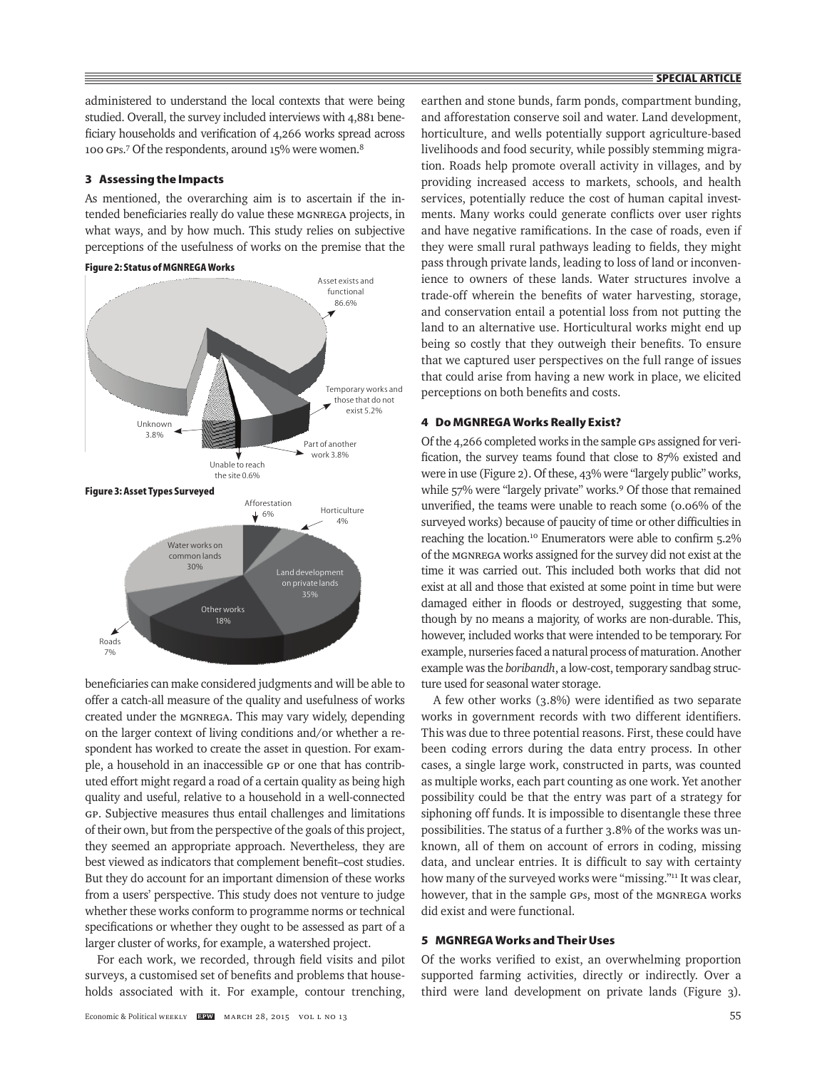administered to understand the local contexts that were being studied. Overall, the survey included interviews with 4,881 beneficiary households and verification of 4,266 works spread across 100 GPs.<sup>7</sup> Of the respondents, around 15% were women.<sup>8</sup>

# **3 Assessing the Impacts**

As mentioned, the overarching aim is to ascertain if the intended beneficiaries really do value these MGNREGA projects, in what ways, and by how much. This study relies on subjective perceptions of the usefulness of works on the premise that the

# **Figure 2: Status of MGNREGA Works**



beneficiaries can make considered judgments and will be able to offer a catch-all measure of the quality and usefulness of works created under the MGNREGA. This may vary widely, depending on the larger context of living conditions and/or whether a respondent has worked to create the asset in question. For example, a household in an inaccessible GP or one that has contributed effort might regard a road of a certain quality as being high quality and useful, relative to a household in a well-connected GP. Subjective measures thus entail challenges and limitations of their own, but from the perspective of the goals of this project, they seemed an appropriate approach. Nevertheless, they are best viewed as indicators that complement benefit-cost studies. But they do account for an important dimension of these works from a users' perspective. This study does not venture to judge whether these works conform to programme norms or technical specifications or whether they ought to be assessed as part of a larger cluster of works, for example, a watershed project.

For each work, we recorded, through field visits and pilot surveys, a customised set of benefits and problems that households associated with it. For example, contour trenching,

earthen and stone bunds, farm ponds, compartment bunding, and afforestation conserve soil and water. Land development, horticulture, and wells potentially support agriculture-based livelihoods and food security, while possibly stemming migration. Roads help promote overall activity in villages, and by providing increased access to markets, schools, and health services, potentially reduce the cost of human capital investments. Many works could generate conflicts over user rights and have negative ramifications. In the case of roads, even if they were small rural pathways leading to fields, they might pass through private lands, leading to loss of land or inconvenience to owners of these lands. Water structures involve a trade-off wherein the benefits of water harvesting, storage, and conservation entail a potential loss from not putting the land to an alternative use. Horticultural works might end up being so costly that they outweigh their benefits. To ensure that we captured user perspectives on the full range of issues that could arise from having a new work in place, we elicited perceptions on both benefits and costs.

## **4 Do MGNREGA Works Really Exist?**

Of the 4,266 completed works in the sample GPs assigned for verification, the survey teams found that close to 87% existed and were in use (Figure 2). Of these, 43% were "largely public" works, while 57% were "largely private" works.<sup>9</sup> Of those that remained unverified, the teams were unable to reach some (0.06% of the surveyed works) because of paucity of time or other difficulties in reaching the location.<sup>10</sup> Enumerators were able to confirm 5.2% of the MGNREGA works assigned for the survey did not exist at the time it was carried out. This included both works that did not exist at all and those that existed at some point in time but were damaged either in floods or destroyed, suggesting that some, though by no means a majority, of works are non-durable. This, however, included works that were intended to be temporary. For example, nurseries faced a natural process of maturation. Another example was the *boribandh*, a low-cost, temporary sandbag structure used for seasonal water storage.

A few other works  $(3.8\%)$  were identified as two separate works in government records with two different identifiers. This was due to three potential reasons. First, these could have been coding errors during the data entry process. In other cases, a single large work, constructed in parts, was counted as multiple works, each part counting as one work. Yet another possibility could be that the entry was part of a strategy for siphoning off funds. It is impossible to disentangle these three possibilities. The status of a further 3.8% of the works was unknown, all of them on account of errors in coding, missing data, and unclear entries. It is difficult to say with certainty how many of the surveyed works were "missing."<sup>11</sup> It was clear, however, that in the sample GPs, most of the MGNREGA works did exist and were functional.

## **5 MGNREGA Works and Their Uses**

Of the works verified to exist, an overwhelming proportion supported farming activities, directly or indirectly. Over a third were land development on private lands (Figure 3).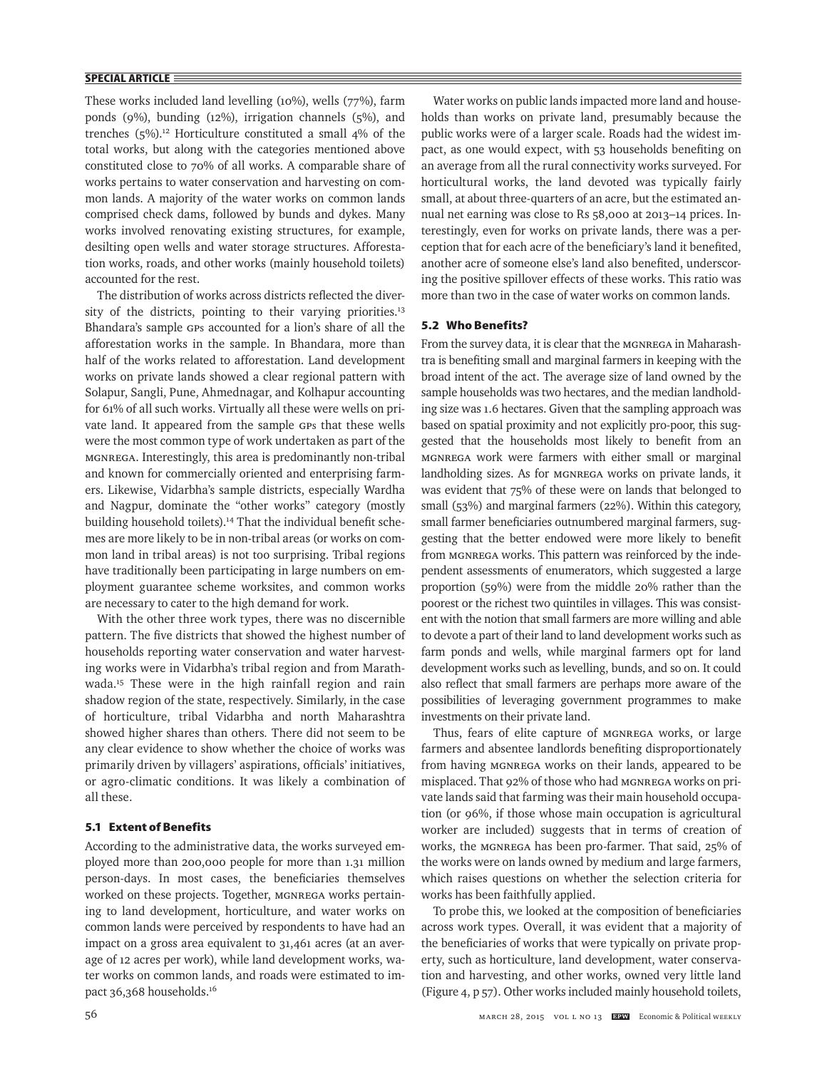These works included land levelling (10%), wells (77%), farm ponds (9%), bunding (12%), irrigation channels (5%), and trenches  $(5\%)$ .<sup>12</sup> Horticulture constituted a small 4% of the total works, but along with the categories mentioned above constituted close to 70% of all works. A comparable share of works pertains to water conservation and harvesting on common lands. A majority of the water works on common lands comprised check dams, followed by bunds and dykes. Many works involved renovating existing structures, for example, desilting open wells and water storage structures. Afforestation works, roads, and other works (mainly household toilets) accounted for the rest.

The distribution of works across districts reflected the diversity of the districts, pointing to their varying priorities.<sup>13</sup> Bhandara's sample GPs accounted for a lion's share of all the afforestation works in the sample. In Bhandara, more than half of the works related to afforestation. Land development works on private lands showed a clear regional pattern with Solapur, Sangli, Pune, Ahmednagar, and Kolhapur accounting for 61% of all such works. Virtually all these were wells on private land. It appeared from the sample GPs that these wells were the most common type of work undertaken as part of the MGNREGA. Interestingly, this area is predominantly non-tribal and known for commercially oriented and enterprising farmers. Likewise, Vidarbha's sample districts, especially Wardha and Nagpur, dominate the "other works" category (mostly building household toilets).<sup>14</sup> That the individual benefit schemes are more likely to be in non-tribal areas (or works on common land in tribal areas) is not too surprising. Tribal regions have traditionally been participating in large numbers on employment guarantee scheme worksites, and common works are necessary to cater to the high demand for work.

With the other three work types, there was no discernible pattern. The five districts that showed the highest number of households reporting water conservation and water harvesting works were in Vidarbha's tribal region and from Marathwada.<sup>15</sup> These were in the high rainfall region and rain shadow region of the state, respectively. Similarly, in the case of horticulture, tribal Vidarbha and north Maharashtra showed higher shares than others*.* There did not seem to be any clear evidence to show whether the choice of works was primarily driven by villagers' aspirations, officials' initiatives, or agro-climatic conditions. It was likely a combination of all these.

# **5.1 Extent of Benefits**

According to the administrative data, the works surveyed employed more than 200,000 people for more than 1.31 million person-days. In most cases, the beneficiaries themselves worked on these projects. Together, MGNREGA works pertaining to land development, horticulture, and water works on common lands were perceived by respondents to have had an impact on a gross area equivalent to 31,461 acres (at an average of 12 acres per work), while land development works, water works on common lands, and roads were estimated to impact 36,368 households.<sup>16</sup>

Water works on public lands impacted more land and households than works on private land, presumably because the public works were of a larger scale. Roads had the widest impact, as one would expect, with 53 households benefiting on an average from all the rural connectivity works surveyed. For horticultural works, the land devoted was typically fairly small, at about three-quarters of an acre, but the estimated annual net earning was close to Rs 58,000 at 2013–14 prices. Interestingly, even for works on private lands, there was a perception that for each acre of the beneficiary's land it benefited, another acre of someone else's land also benefited, underscoring the positive spillover effects of these works. This ratio was more than two in the case of water works on common lands.

# **5.2 Who Benefits?**

From the survey data, it is clear that the MGNREGA in Maharashtra is benefiting small and marginal farmers in keeping with the broad intent of the act. The average size of land owned by the sample households was two hectares, and the median landholding size was 1.6 hectares. Given that the sampling approach was based on spatial proximity and not explicitly pro-poor, this suggested that the households most likely to benefit from an MGNREGA work were farmers with either small or marginal landholding sizes. As for MGNREGA works on private lands, it was evident that 75% of these were on lands that belonged to small (53%) and marginal farmers (22%). Within this category, small farmer beneficiaries outnumbered marginal farmers, suggesting that the better endowed were more likely to benefit from MGNREGA works. This pattern was reinforced by the independent assessments of enumerators, which suggested a large proportion (59%) were from the middle 20% rather than the poorest or the richest two quintiles in villages. This was consistent with the notion that small farmers are more willing and able to devote a part of their land to land development works such as farm ponds and wells, while marginal farmers opt for land development works such as levelling, bunds, and so on. It could also reflect that small farmers are perhaps more aware of the possibilities of leveraging government programmes to make investments on their private land.

Thus, fears of elite capture of MGNREGA works, or large farmers and absentee landlords benefiting disproportionately from having MGNREGA works on their lands, appeared to be misplaced. That 92% of those who had MGNREGA works on private lands said that farming was their main household occupation (or 96%, if those whose main occupation is agricultural worker are included) suggests that in terms of creation of works, the MGNREGA has been pro-farmer. That said, 25% of the works were on lands owned by medium and large farmers, which raises questions on whether the selection criteria for works has been faithfully applied.

To probe this, we looked at the composition of beneficiaries across work types. Overall, it was evident that a majority of the beneficiaries of works that were typically on private property, such as horticulture, land development, water conservation and harvesting, and other works, owned very little land (Figure 4, p 57). Other works included mainly household toilets,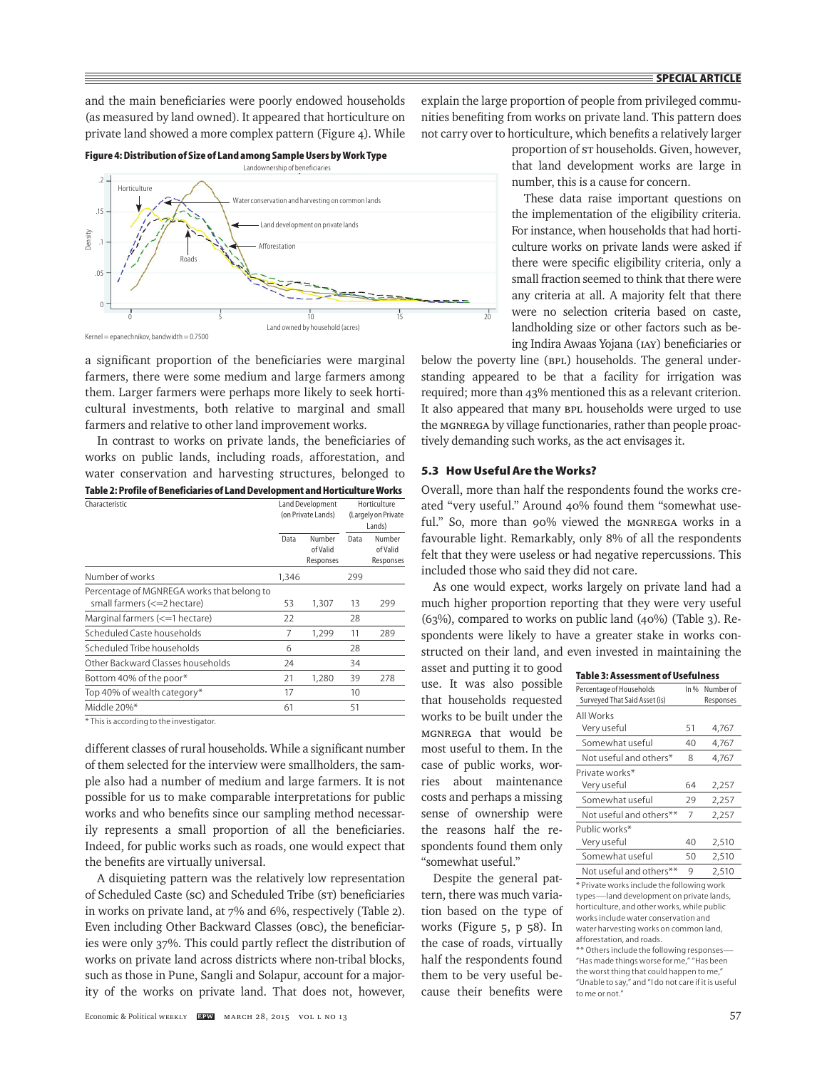and the main beneficiaries were poorly endowed households (as measured by land owned). It appeared that horticulture on private land showed a more complex pattern (Figure 4). While





Kernel = epanechnikov, bandwidth = 0.7500

a significant proportion of the beneficiaries were marginal farmers, there were some medium and large farmers among them. Larger farmers were perhaps more likely to seek horticultural investments, both relative to marginal and small farmers and relative to other land improvement works.

In contrast to works on private lands, the beneficiaries of works on public lands, including roads, afforestation, and water conservation and harvesting structures, belonged to **Table 2: Profile of Beneficiaries of Land Development and Horticulture Works**

| Characteristic                                                             | Land Development<br>(on Private Lands) |                                 | Horticulture<br>(Largely on Private<br>Lands) |                                 |
|----------------------------------------------------------------------------|----------------------------------------|---------------------------------|-----------------------------------------------|---------------------------------|
|                                                                            | Data                                   | Number<br>of Valid<br>Responses | Data                                          | Number<br>of Valid<br>Responses |
| Number of works                                                            | 1,346                                  |                                 | 299                                           |                                 |
| Percentage of MGNREGA works that belong to<br>small farmers (<= 2 hectare) | 53                                     | 1.307                           | 13                                            | 299                             |
| Marginal farmers (<=1 hectare)                                             | 22                                     |                                 | 28                                            |                                 |
| Scheduled Caste households                                                 | 7                                      | 1,299                           | 11                                            | 289                             |
| Scheduled Tribe households                                                 | 6                                      |                                 | 28                                            |                                 |
| Other Backward Classes households                                          | 24                                     |                                 | 34                                            |                                 |
| Bottom 40% of the poor*                                                    | 21                                     | 1,280                           | 39                                            | 278                             |
| Top 40% of wealth category*                                                | 17                                     |                                 | 10                                            |                                 |
| Middle 20%*                                                                | 61                                     |                                 | 51                                            |                                 |

\* This is according to the investigator.

different classes of rural households. While a significant number of them selected for the interview were smallholders, the sample also had a number of medium and large farmers. It is not possible for us to make comparable interpretations for public works and who benefits since our sampling method necessarily represents a small proportion of all the beneficiaries. Indeed, for public works such as roads, one would expect that the benefits are virtually universal.

A disquieting pattern was the relatively low representation of Scheduled Caste (sc) and Scheduled Tribe (st) beneficiaries in works on private land, at 7% and 6%, respectively (Table 2). Even including Other Backward Classes (OBC), the beneficiaries were only 37%. This could partly reflect the distribution of works on private land across districts where non-tribal blocks, such as those in Pune, Sangli and Solapur, account for a majority of the works on private land. That does not, however,

explain the large proportion of people from privileged communities benefiting from works on private land. This pattern does not carry over to horticulture, which benefits a relatively larger

> proportion of ST households. Given, however, that land development works are large in number, this is a cause for concern.

> These data raise important questions on the implementation of the eligibility criteria. For instance, when households that had horticulture works on private lands were asked if there were specific eligibility criteria, only a small fraction seemed to think that there were any criteria at all. A majority felt that there were no selection criteria based on caste, landholding size or other factors such as being Indira Awaas Yojana (IAY) beneficiaries or

below the poverty line (BPL) households. The general understanding appeared to be that a facility for irrigation was required; more than 43% mentioned this as a relevant criterion. It also appeared that many BPL households were urged to use the MGNREGA by village functionaries, rather than people proactively demanding such works, as the act envisages it.

# **5.3 How Useful Are the Works?**

Overall, more than half the respondents found the works created "very useful." Around 40% found them "somewhat useful." So, more than 90% viewed the MGNREGA works in a favourable light. Remarkably, only 8% of all the respondents felt that they were useless or had negative repercussions. This included those who said they did not care.

As one would expect, works largely on private land had a much higher proportion reporting that they were very useful (63%), compared to works on public land (40%) (Table 3). Respondents were likely to have a greater stake in works constructed on their land, and even invested in maintaining the

asset and putting it to good use. It was also possible that households requested works to be built under the MGNREGA that would be most useful to them. In the case of public works, worries about maintenance costs and perhaps a missing sense of ownership were the reasons half the respondents found them only "somewhat useful."

Despite the general pattern, there was much variation based on the type of works (Figure 5, p 58). In the case of roads, virtually half the respondents found them to be very useful because their benefits were

| Table 3: Assessment of Usefulness |        |           |  |
|-----------------------------------|--------|-----------|--|
| Percentage of Households          | $ln\%$ | Number of |  |
| Surveyed That Said Asset (is)     |        | Responses |  |
| All Works                         |        |           |  |
| Very useful                       | 51     | 4,767     |  |
| Somewhat useful                   | 40     | 4,767     |  |
| Not useful and others*            | 8      | 4,767     |  |
| Private works*                    |        |           |  |
| Very useful                       | 64     | 2,257     |  |
| Somewhat useful                   | 29     | 2,257     |  |
| Not useful and others**           | 7      | 2,257     |  |
| Public works*                     |        |           |  |
| Very useful                       | 40     | 2,510     |  |
| Somewhat useful                   | 50     | 2,510     |  |
| Not useful and others**           | 9      | 2.510     |  |

\* Private works include the following work types—land development on private lands, horticulture, and other works, while public works include water conservation and water harvesting works on common land, afforestation, and roads.

\*\* Others include the following responses— "Has made things worse for me," "Has been the worst thing that could happen to me," "Unable to say," and "I do not care if it is useful to me or not."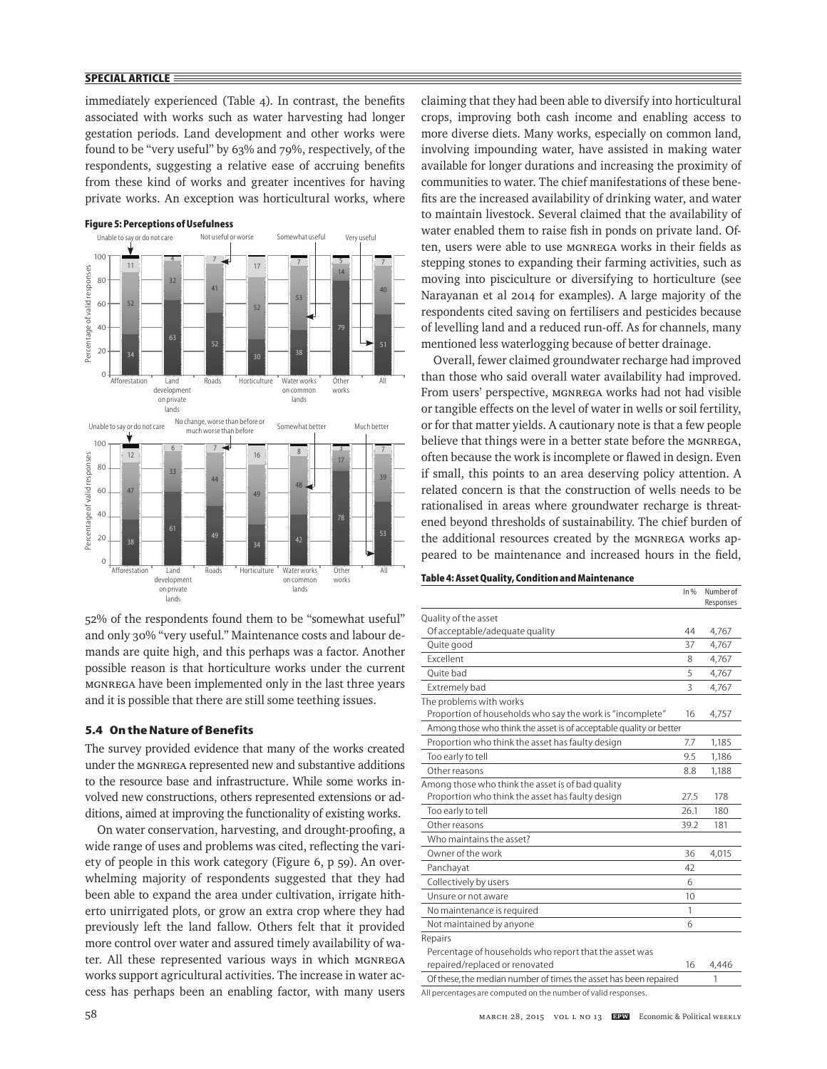immediately experienced (Table 4). In contrast, the benefits associated with works such as water harvesting had longer gestation periods. Land development and other works were found to be "very useful" by 63% and 79%, respectively, of the respondents, suggesting a relative ease of accruing benefits from these kind of works and greater incentives for having private works. An exception was horticultural works, where



52% of the respondents found them to be "somewhat useful" and only 30% "very useful." Maintenance costs and labour demands are quite high, and this perhaps was a factor. Another possible reason is that horticulture works under the current MGNREGA have been implemented only in the last three years and it is possible that there are still some teething issues.

# **5.4 On the Nature of Benefits**

The survey provided evidence that many of the works created under the MGNREGA represented new and substantive additions to the resource base and infrastructure. While some works involved new constructions, others represented extensions or additions, aimed at improving the functionality of existing works.

On water conservation, harvesting, and drought-proofing, a wide range of uses and problems was cited, reflecting the variety of people in this work category (Figure 6, p 59). An overwhelming majority of respondents suggested that they had been able to expand the area under cultivation, irrigate hitherto unirrigated plots, or grow an extra crop where they had previously left the land fallow. Others felt that it provided more control over water and assured timely availability of water. All these represented various ways in which MGNREGA works support agricultural activities. The increase in water access has perhaps been an enabling factor, with many users claiming that they had been able to diversify into horticultural crops, improving both cash income and enabling access to more diverse diets. Many works, especially on common land, involving impounding water, have assisted in making water available for longer durations and increasing the proximity of communities to water. The chief manifestations of these benefits are the increased availability of drinking water, and water to maintain livestock. Several claimed that the availability of water enabled them to raise fish in ponds on private land. Often, users were able to use MGNREGA works in their fields as stepping stones to expanding their farming activities, such as moving into pisciculture or diversifying to horticulture (see Narayanan et al 2014 for examples). A large majority of the respondents cited saving on fertilisers and pesticides because of levelling land and a reduced run-off. As for channels, many mentioned less waterlogging because of better drainage.

Overall, fewer claimed groundwater recharge had improved than those who said overall water availability had improved. From users' perspective, MGNREGA works had not had visible or tangible effects on the level of water in wells or soil fertility, or for that matter yields. A cautionary note is that a few people believe that things were in a better state before the MGNREGA, often because the work is incomplete or flawed in design. Even if small, this points to an area deserving policy attention. A related concern is that the construction of wells needs to be rationalised in areas where groundwater recharge is threatened beyond thresholds of sustainability. The chief burden of the additional resources created by the MGNREGA works appeared to be maintenance and increased hours in the field,

# **Table 4: Asset Quality, Condition and Maintenance**

|                                                                    | $ln\%$ | Number of<br>Responses |
|--------------------------------------------------------------------|--------|------------------------|
| Quality of the asset                                               |        |                        |
| Of acceptable/adequate quality                                     | 44     | 4,767                  |
| Quite good                                                         | 37     | 4,767                  |
| <b>Fxcellent</b>                                                   | 8      | 4,767                  |
| Quite bad                                                          | 5      | 4,767                  |
| Extremely bad                                                      | 3      | 4,767                  |
| The problems with works                                            |        |                        |
| Proportion of households who say the work is "incomplete"          | 16     | 4,757                  |
| Among those who think the asset is of acceptable quality or better |        |                        |
| Proportion who think the asset has faulty design                   | 7.7    | 1,185                  |
| Too early to tell                                                  | 9.5    | 1.186                  |
| Other reasons                                                      | 8.8    | 1,188                  |
| Among those who think the asset is of bad quality                  |        |                        |
| Proportion who think the asset has faulty design                   | 27.5   | 178                    |
| Too early to tell                                                  | 26.1   | 180                    |
| Other reasons                                                      | 39.2   | 181                    |
| Who maintains the asset?                                           |        |                        |
| Owner of the work                                                  | 36     | 4,015                  |
| Panchayat                                                          | 42     |                        |
| Collectively by users                                              | 6      |                        |
| Unsure or not aware                                                | 10     |                        |
| No maintenance is required                                         | 1      |                        |
| Not maintained by anyone                                           | 6      |                        |
| Repairs                                                            |        |                        |
| Percentage of households who report that the asset was             |        |                        |
| repaired/replaced or renovated                                     | 16     | 4,446                  |
| Of these, the median number of times the asset has been repaired   |        | 1                      |
|                                                                    |        |                        |

All percentages are computed on the number of valid responses.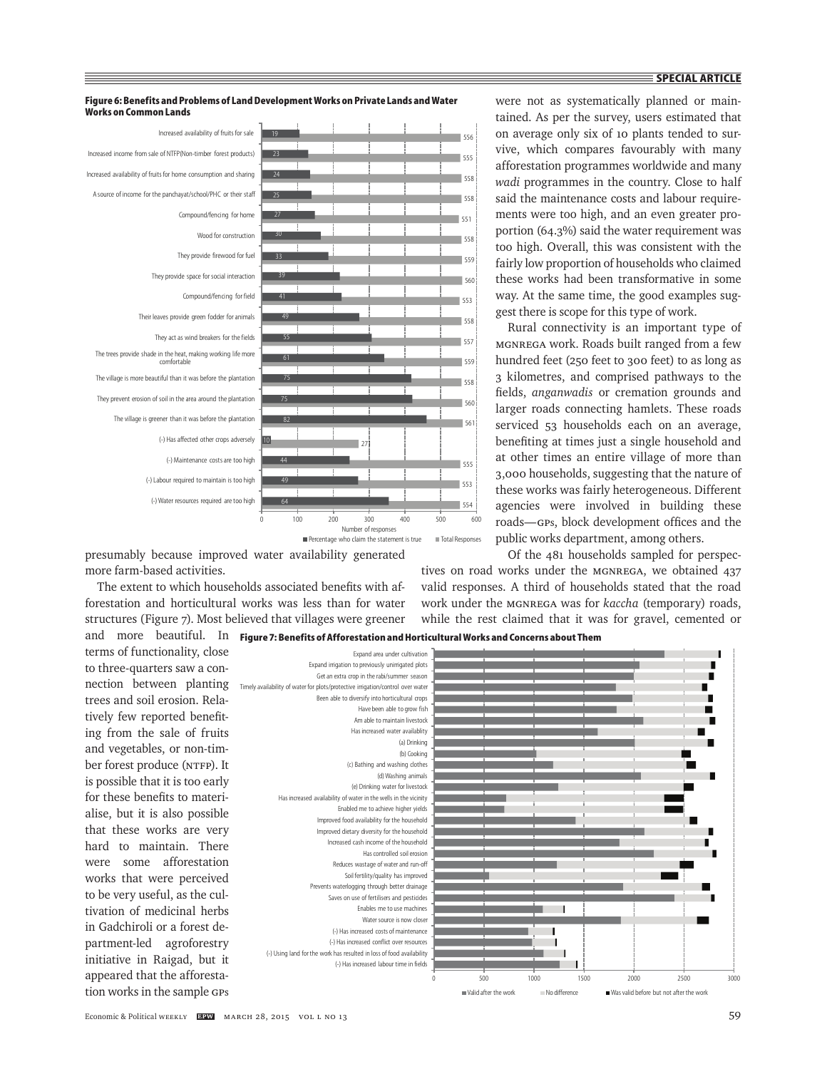were not as systematically planned or maintained. As per the survey, users estimated that on average only six of 10 plants tended to survive, which compares favourably with many afforestation programmes worldwide and many *wadi* programmes in the country. Close to half said the maintenance costs and labour requirements were too high, and an even greater proportion (64.3%) said the water requirement was too high. Overall, this was consistent with the fairly low proportion of households who claimed these works had been transformative in some way. At the same time, the good examples sug-

gest there is scope for this type of work.

Rural connectivity is an important type of MGNREGA work. Roads built ranged from a few hundred feet (250 feet to 300 feet) to as long as 3 kilometres, and comprised pathways to the fields, *anganwadis* or cremation grounds and larger roads connecting hamlets. These roads serviced 53 households each on an average, benefiting at times just a single household and at other times an entire village of more than



**Figure 6: Benefits and Problems of Land Development Works on Private Lands and Water Works on Common Lands**

presumably because improved water availability generated more farm-based activities.

The extent to which households associated benefits with afforestation and horticultural works was less than for water structures (Figure 7). Most believed that villages were greener

terms of functionality, close to three-quarters saw a connection between planting trees and soil erosion. Relatively few reported benefiting from the sale of fruits and vegetables, or non-timber forest produce (NTFP). It is possible that it is too early for these benefits to materialise, but it is also possible that these works are very hard to maintain. There were some afforestation works that were perceived to be very useful, as the cultivation of medicinal herbs in Gadchiroli or a forest department-led agroforestry initiative in Raigad, but it appeared that the afforestation works in the sample GPs

3,000 households, suggesting that the nature of these works was fairly heterogeneous. Different agencies were involved in building these roads—GPs, block development offices and the public works department, among others. Of the 481 households sampled for perspec-

tives on road works under the MGNREGA, we obtained 437 valid responses. A third of households stated that the road work under the MGNREGA was for *kaccha* (temporary) roads, while the rest claimed that it was for gravel, cemented or

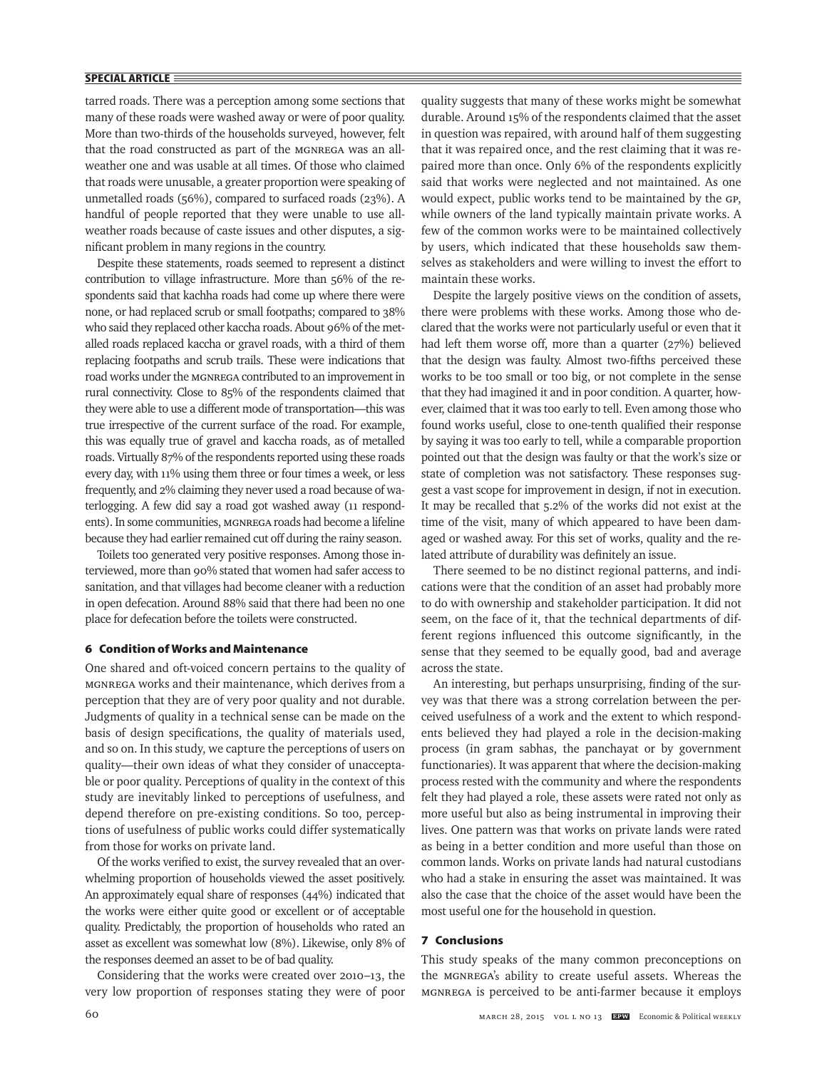tarred roads. There was a perception among some sections that many of these roads were washed away or were of poor quality. More than two-thirds of the households surveyed, however, felt that the road constructed as part of the MGNREGA was an allweather one and was usable at all times. Of those who claimed that roads were unusable, a greater proportion were speaking of unmetalled roads (56%), compared to surfaced roads (23%). A handful of people reported that they were unable to use allweather roads because of caste issues and other disputes, a significant problem in many regions in the country.

Despite these statements, roads seemed to represent a distinct contribution to village infrastructure. More than 56% of the respondents said that kachha roads had come up where there were none, or had replaced scrub or small footpaths; compared to 38% who said they replaced other kaccha roads. About 96% of the metalled roads replaced kaccha or gravel roads, with a third of them replacing footpaths and scrub trails. These were indications that road works under the MGNREGA contributed to an improvement in rural connectivity. Close to 85% of the respondents claimed that they were able to use a different mode of transportation—this was true irrespective of the current surface of the road. For example, this was equally true of gravel and kaccha roads, as of metalled roads. Virtually 87% of the respondents reported using these roads every day, with 11% using them three or four times a week, or less frequently, and 2% claiming they never used a road because of waterlogging. A few did say a road got washed away (11 respondents). In some communities, MGNREGA roads had become a lifeline because they had earlier remained cut off during the rainy season.

Toilets too generated very positive responses. Among those interviewed, more than 90% stated that women had safer access to sanitation, and that villages had become cleaner with a reduction in open defecation. Around 88% said that there had been no one place for defecation before the toilets were constructed.

## **6 Condition of Works and Maintenance**

One shared and oft-voiced concern pertains to the quality of MGNREGA works and their maintenance, which derives from a perception that they are of very poor quality and not durable. Judgments of quality in a technical sense can be made on the basis of design specifications, the quality of materials used, and so on. In this study, we capture the perceptions of users on quality—their own ideas of what they consider of unacceptable or poor quality. Perceptions of quality in the context of this study are inevitably linked to perceptions of usefulness, and depend therefore on pre-existing conditions. So too, perceptions of usefulness of public works could differ systematically from those for works on private land.

Of the works verified to exist, the survey revealed that an overwhelming proportion of households viewed the asset positively. An approximately equal share of responses (44%) indicated that the works were either quite good or excellent or of acceptable quality. Predictably, the proportion of households who rated an asset as excellent was somewhat low (8%). Likewise, only 8% of the responses deemed an asset to be of bad quality.

Considering that the works were created over 2010–13, the very low proportion of responses stating they were of poor quality suggests that many of these works might be somewhat durable. Around 15% of the respondents claimed that the asset in question was repaired, with around half of them suggesting that it was repaired once, and the rest claiming that it was repaired more than once. Only 6% of the respondents explicitly said that works were neglected and not maintained. As one would expect, public works tend to be maintained by the GP, while owners of the land typically maintain private works. A few of the common works were to be maintained collectively by users, which indicated that these households saw themselves as stakeholders and were willing to invest the effort to maintain these works.

Despite the largely positive views on the condition of assets, there were problems with these works. Among those who declared that the works were not particularly useful or even that it had left them worse off, more than a quarter (27%) believed that the design was faulty. Almost two-fifths perceived these works to be too small or too big, or not complete in the sense that they had imagined it and in poor condition. A quarter, however, claimed that it was too early to tell. Even among those who found works useful, close to one-tenth qualified their response by saying it was too early to tell, while a comparable proportion pointed out that the design was faulty or that the work's size or state of completion was not satisfactory. These responses suggest a vast scope for improvement in design, if not in execution. It may be recalled that 5.2% of the works did not exist at the time of the visit, many of which appeared to have been damaged or washed away. For this set of works, quality and the related attribute of durability was definitely an issue.

There seemed to be no distinct regional patterns, and indications were that the condition of an asset had probably more to do with ownership and stakeholder participation. It did not seem, on the face of it, that the technical departments of different regions influenced this outcome significantly, in the sense that they seemed to be equally good, bad and average across the state.

An interesting, but perhaps unsurprising, finding of the survey was that there was a strong correlation between the perceived usefulness of a work and the extent to which respondents believed they had played a role in the decision-making process (in gram sabhas, the panchayat or by government functionaries). It was apparent that where the decision-making process rested with the community and where the respondents felt they had played a role, these assets were rated not only as more useful but also as being instrumental in improving their lives. One pattern was that works on private lands were rated as being in a better condition and more useful than those on common lands. Works on private lands had natural custodians who had a stake in ensuring the asset was maintained. It was also the case that the choice of the asset would have been the most useful one for the household in question.

### **7 Conclusions**

This study speaks of the many common preconceptions on the MGNREGA's ability to create useful assets. Whereas the MGNREGA is perceived to be anti-farmer because it employs